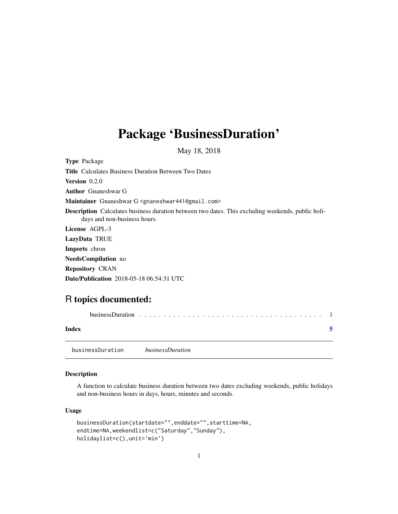## <span id="page-0-0"></span>Package 'BusinessDuration'

May 18, 2018

Type Package Title Calculates Business Duration Between Two Dates Version 0.2.0 Author Gnaneshwar G Maintainer Gnaneshwar G <gnaneshwar441@gmail.com> Description Calculates business duration between two dates. This excluding weekends, public holidays and non-business hours. License AGPL-3 LazyData TRUE Imports chron NeedsCompilation no Repository CRAN

Date/Publication 2018-05-18 06:54:31 UTC

### R topics documented:

| Index |                  |                         |  |  |  |  |  |  |  |  |
|-------|------------------|-------------------------|--|--|--|--|--|--|--|--|
|       | businessDuration | <i>businessDuration</i> |  |  |  |  |  |  |  |  |

#### Description

A function to calculate business duration between two dates excluding weekends, public holidays and non-business hours in days, hours, minutes and seconds.

#### Usage

```
businessDuration(startdate="",enddate="",starttime=NA,
endtime=NA,weekendlist=c("Saturday","Sunday"),
holidaylist=c(),unit='min')
```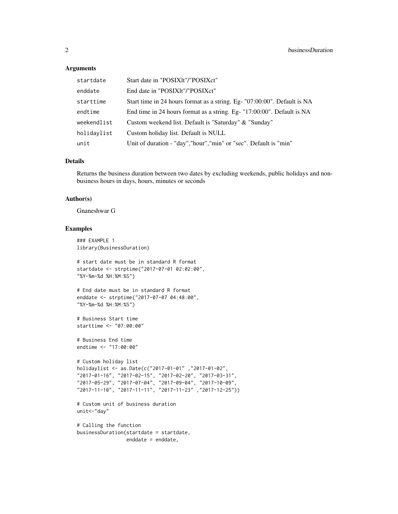#### **Arguments**

| startdate   | Start date in "POSIXIt"/"POSIXct"                                        |
|-------------|--------------------------------------------------------------------------|
| enddate     | End date in "POSIXIt"/"POSIXct"                                          |
| starttime   | Start time in 24 hours format as a string. Eg- "07:00:00". Default is NA |
| endtime     | End time in 24 hours format as a string. Eg- "17:00:00". Default is NA   |
| weekendlist | Custom weekend list. Default is "Saturday" & "Sunday"                    |
| holidaylist | Custom holiday list. Default is NULL                                     |
| unit        | Unit of duration - "day", "hour", "min" or "sec". Default is "min"       |

#### Details

Returns the business duration between two dates by excluding weekends, public holidays and nonbusiness hours in days, hours, minutes or seconds

#### Author(s)

Gnaneshwar G

#### Examples

```
### EXAMPLE 1
library(BusinessDuration)
# start date must be in standard R format
startdate <- strptime("2017-07-01 02:02:00",
"%Y-%m-%d %H:%M:%S")
# End date must be in standard R format
enddate <- strptime("2017-07-07 04:48:00",
"%Y-%m-%d %H:%M:%S")
# Business Start time
starttime <- "07:00:00"
# Business End time
endtime <- "17:00:00"
# Custom holiday list
holidaylist <- as.Date(c("2017-01-01" ,"2017-01-02",
"2017-01-16", "2017-02-15", "2017-02-20", "2017-03-31",
"2017-05-29", "2017-07-04", "2017-09-04", "2017-10-09",
"2017-11-10", "2017-11-11", "2017-11-23" ,"2017-12-25"))
# Custom unit of business duration
unit<-"day"
# Calling the function
businessDuration(startdate = startdate,
                 enddate = enddate,
```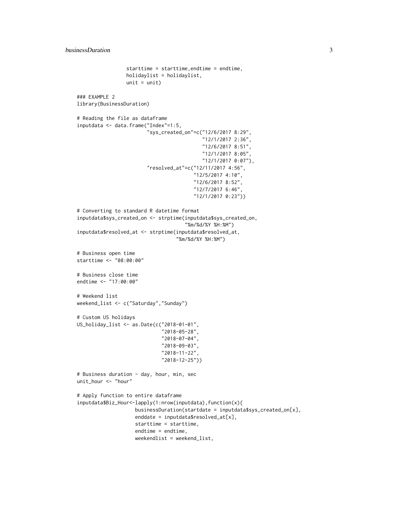```
starttime = starttime,endtime = endtime,
                 holidaylist = holidaylist,
                 unit = unit)### EXAMPLE 2
library(BusinessDuration)
# Reading the file as dataframe
inputdata <- data.frame("Index"=1:5,
                        "sys_created_on"=c("12/6/2017 8:29",
                                            "12/1/2017 2:36",
                                            "12/6/2017 8:51",
                                            "12/1/2017 8:05",
                                            "12/1/2017 0:07"),
                        "resolved_at"=c("12/11/2017 4:56",
                                         "12/5/2017 4:10",
                                         "12/6/2017 8:52",
                                         "12/7/2017 6:46",
                                         "12/1/2017 0:23"))
# Converting to standard R datetime format
inputdata$sys_created_on <- strptime(inputdata$sys_created_on,
                                     "%m/%d/%Y %H:%M")
inputdata$resolved_at <- strptime(inputdata$resolved_at,
                                  "%m/%d/%Y %H:%M")
# Business open time
starttime <- "08:00:00"
# Business close time
endtime <- "17:00:00"
# Weekend list
weekend_list <- c("Saturday","Sunday")
# Custom US holidays
US_holiday_list <- as.Date(c("2018-01-01",
                              "2018-05-28",
                              "2018-07-04",
                              "2018-09-03",
                              "2018-11-22",
                              "2018-12-25"))
# Business duration - day, hour, min, sec
unit_hour <- "hour"
# Apply function to entire dataframe
inputdata$Biz_Hour<-lapply(1:nrow(inputdata),function(x){
                    businessDuration(startdate = inputdata$sys_created_on[x],
                    enddate = inputdata$resolved_at[x],
                    starttime = starttime,
                    endtime = endtime,
                    weekendlist = weekend_list,
```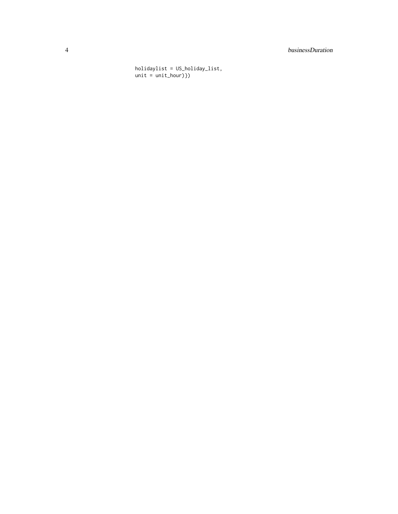#### 4 businessDuration

holidaylist = US\_holiday\_list, unit = unit\_hour)})